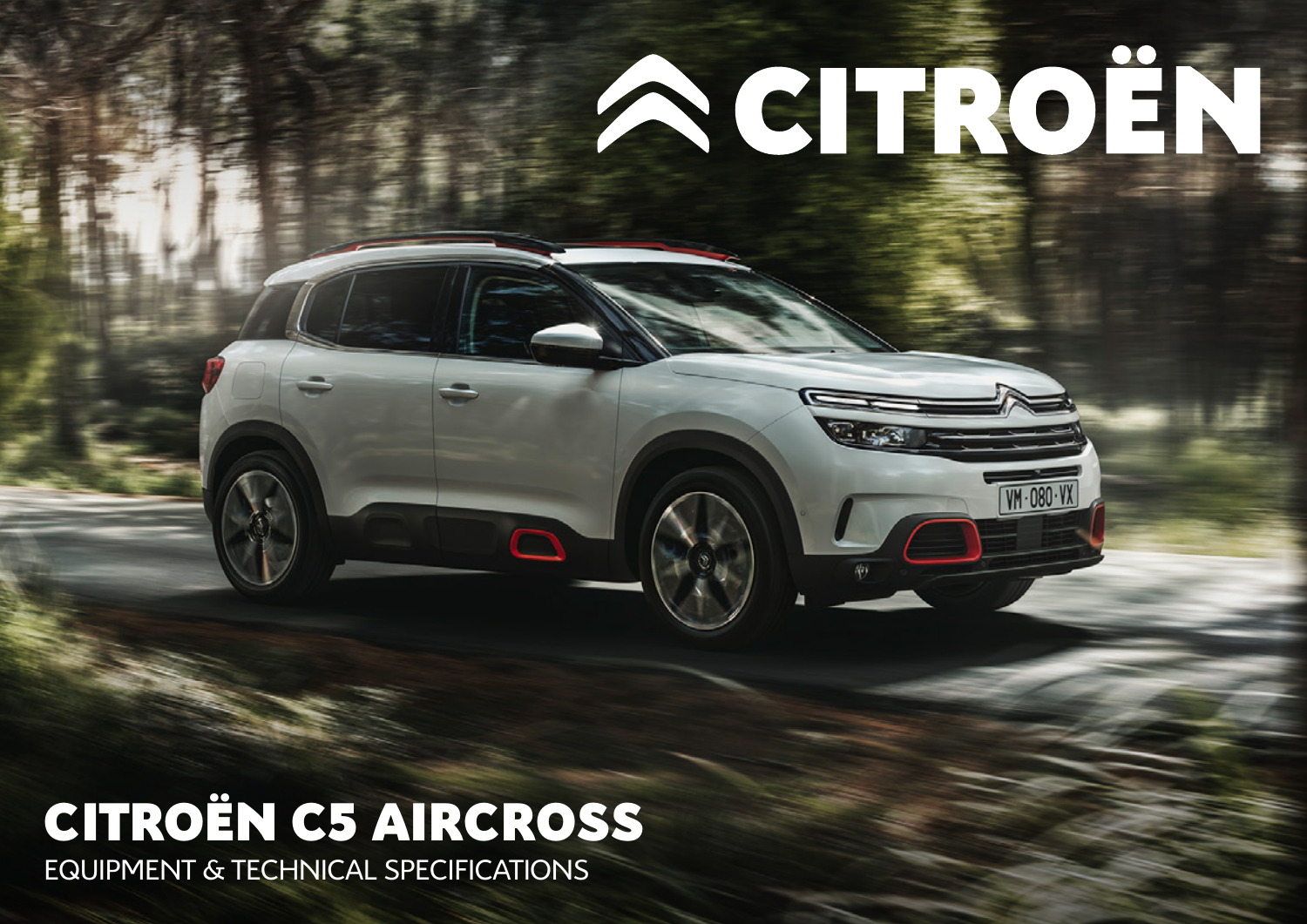## CITROËN C5 AIRCROSS EQUIPMENT & TECHNICAL SPECIFICATIONS

 $\Box$ 

ACTROIN

VM-080-VX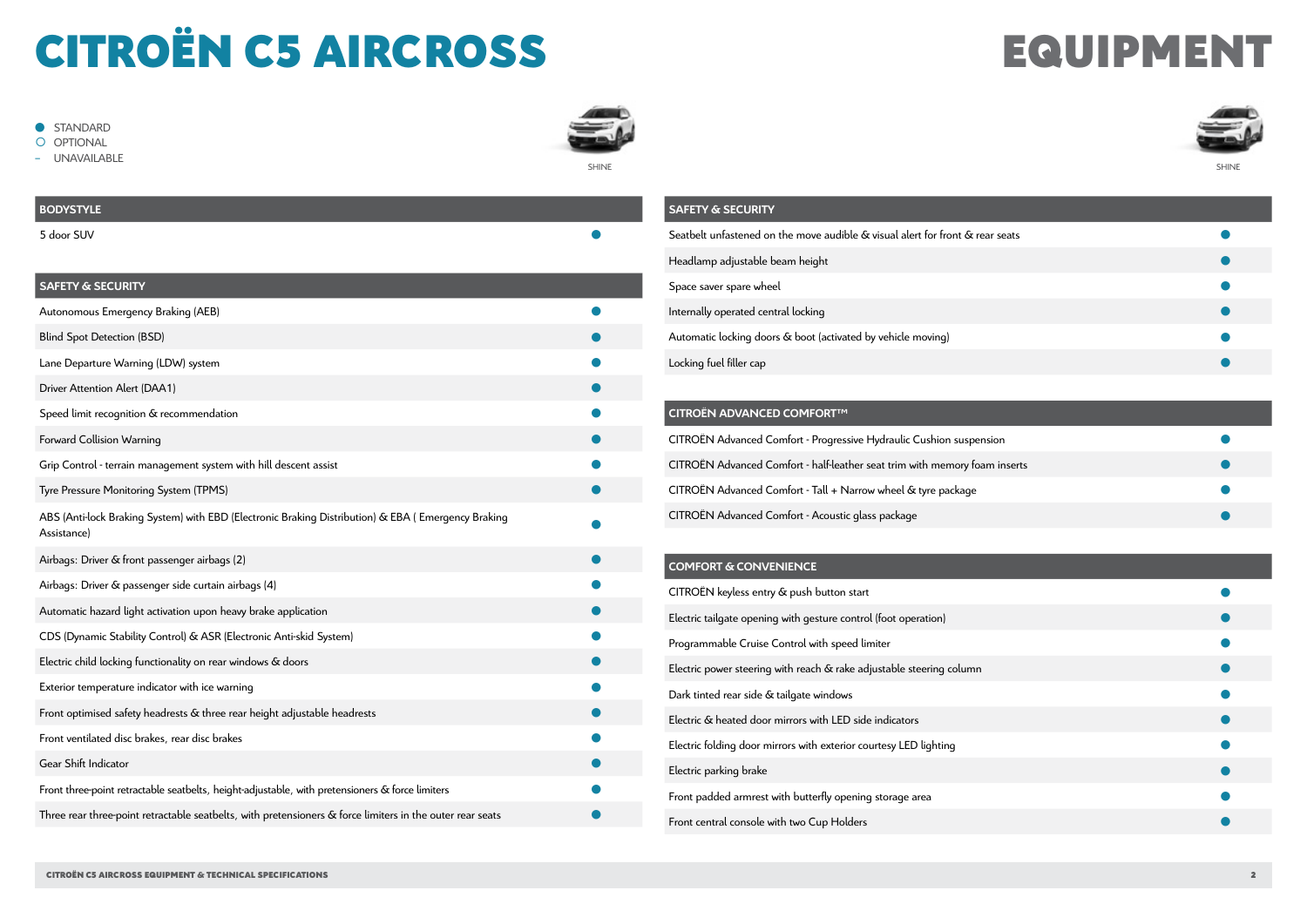## CITROËN C5 AIRCROSS EQUIPMENT

### $\bullet$  STANDARD

O OPTIONAL

**UNAVAILABLE** 





## **BODYSTYLE** 5 door SUV � **SAFETY & SECURITY** Autonomous Emergency Braking (AEB) Blind Spot Detection (BSD) Lane Departure Warning (LDW) system Driver Attention Alert (DAA1) Speed limit recognition & recommendation Forward Collision Warning Grip Control - terrain management system with hill descent assist � Tyre Pressure Monitoring System (TPMS) � ABS (Anti-lock Braking System) with EBD (Electronic Braking Distribution) & EBA ( Emergency Braking Assistance) *was braining system, that EBB (Electronic Braining Bischoddon, of EBT) (Emergency Braining* Airbags: Driver & front passenger airbags (2) Airbags: Driver & passenger side curtain airbags (4) Automatic hazard light activation upon heavy brake application CDS (Dynamic Stability Control) & ASR (Electronic Anti-skid System) � Electric child locking functionality on rear windows & doors � Exterior temperature indicator with ice warning Front optimised safety headrests & three rear height adjustable headrests Front ventilated disc brakes, rear disc brakes Gear Shift Indicator Front three-point retractable seatbelts, height-adjustable, with pretensioners & force limiters Three rear three-point retractable seatbelts, with pretensioners & force limiters in the outer rear seats �

| <b>SAFETY &amp; SECURITY</b>                                                  |  |
|-------------------------------------------------------------------------------|--|
| Seatbelt unfastened on the move audible & visual alert for front & rear seats |  |
| Headlamp adjustable beam height                                               |  |
| Space saver spare wheel                                                       |  |
| Internally operated central locking                                           |  |
| Automatic locking doors & boot (activated by vehicle moving)                  |  |
| Locking fuel filler cap                                                       |  |
|                                                                               |  |

### **CITROËN ADVANCED COMFORT™**

| CITROËN Advanced Comfort - Progressive Hydraulic Cushion suspension        |  |
|----------------------------------------------------------------------------|--|
| CITROËN Advanced Comfort - half-leather seat trim with memory foam inserts |  |
| CITROËN Advanced Comfort - Tall + Narrow wheel & tyre package              |  |
| CITROËN Advanced Comfort - Acoustic glass package                          |  |

### **COMFORT & CONVENIENCE**

| CITROËN keyless entry & push button start                            |  |
|----------------------------------------------------------------------|--|
| Electric tailgate opening with gesture control (foot operation)      |  |
| Programmable Cruise Control with speed limiter                       |  |
| Electric power steering with reach & rake adjustable steering column |  |
| Dark tinted rear side & tailgate windows                             |  |
| Electric & heated door mirrors with LED side indicators              |  |
| Electric folding door mirrors with exterior courtesy LED lighting    |  |
| Electric parking brake                                               |  |
| Front padded armrest with butterfly opening storage area             |  |
| Front central console with two Cup Holders                           |  |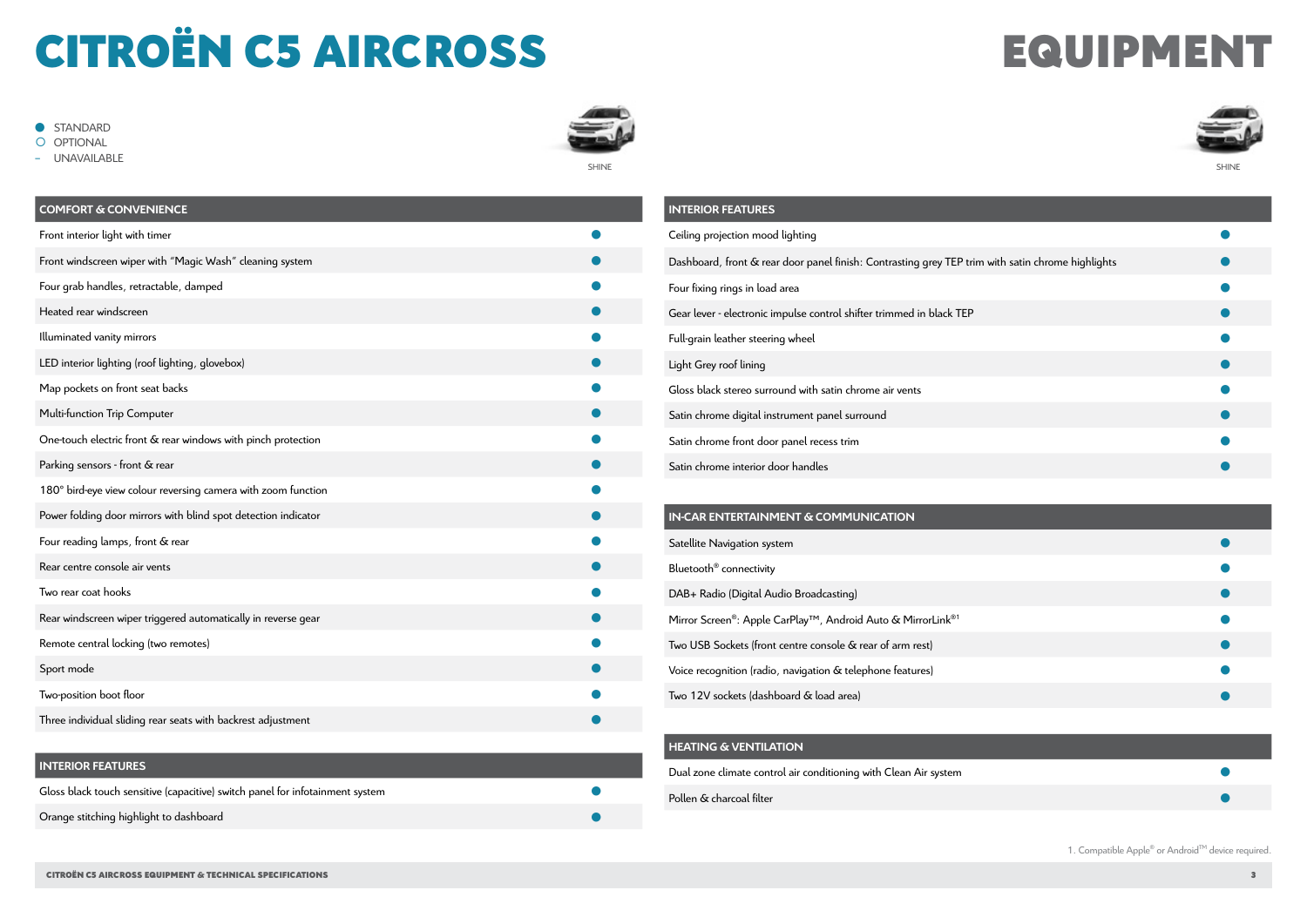# CITROËN C5 AIRCROSS EQUIPMENT

 $\bullet$  STANDARD

O OPTIONAL

- UNAVAILABLE





| <b>COMFORT &amp; CONVENIENCE</b>                               |  |
|----------------------------------------------------------------|--|
| Front interior light with timer                                |  |
| Front windscreen wiper with "Magic Wash" cleaning system       |  |
| Four grab handles, retractable, damped                         |  |
| Heated rear windscreen                                         |  |
| Illuminated vanity mirrors                                     |  |
| LED interior lighting (roof lighting, glovebox)                |  |
| Map pockets on front seat backs                                |  |
| Multi-function Trip Computer                                   |  |
| One-touch electric front & rear windows with pinch protection  |  |
| Parking sensors - front & rear                                 |  |
| 180° bird-eye view colour reversing camera with zoom function  |  |
| Power folding door mirrors with blind spot detection indicator |  |
| Four reading lamps, front & rear                               |  |
| Rear centre console air vents                                  |  |
| Two rear coat hooks                                            |  |
| Rear windscreen wiper triggered automatically in reverse gear  |  |
| Remote central locking (two remotes)                           |  |
| Sport mode                                                     |  |
| Two-position boot floor                                        |  |
| Three individual sliding rear seats with backrest adjustment   |  |

### **INTERIOR FEATURES**

| Gloss black touch sensitive (capacitive) switch panel for infotainment system |  |
|-------------------------------------------------------------------------------|--|
| Orange stitching highlight to dashboard                                       |  |

| <b>INTERIOR FEATURES</b>                                                                          |  |
|---------------------------------------------------------------------------------------------------|--|
| Ceiling projection mood lighting                                                                  |  |
| Dashboard, front & rear door panel finish: Contrasting grey TEP trim with satin chrome highlights |  |
| Four fixing rings in load area                                                                    |  |
| Gear lever - electronic impulse control shifter trimmed in black TEP                              |  |
| Full-grain leather steering wheel                                                                 |  |
| Light Grey roof lining                                                                            |  |
| Gloss black stereo surround with satin chrome air vents                                           |  |
| Satin chrome digital instrument panel surround                                                    |  |
| Satin chrome front door panel recess trim                                                         |  |
| Satin chrome interior door handles                                                                |  |

| IN-CAR ENTERTAINMENT & COMMUNICATION                                                 |  |
|--------------------------------------------------------------------------------------|--|
| Satellite Navigation system                                                          |  |
| Bluetooth <sup>®</sup> connectivity                                                  |  |
| DAB+ Radio (Digital Audio Broadcasting)                                              |  |
| Mirror Screen®: Apple CarPlay <sup>™</sup> , Android Auto & MirrorLink <sup>®1</sup> |  |
| Two USB Sockets (front centre console & rear of arm rest)                            |  |
| Voice recognition (radio, navigation & telephone features)                           |  |
| Two 12V sockets (dashboard & load area)                                              |  |

### **HEATING & VENTILATION**

| Dual zone climate control air conditioning with Clean Air system |  |
|------------------------------------------------------------------|--|
| Pollen & charcoal filter                                         |  |

1. Compatible Apple® or AndroidTM device required.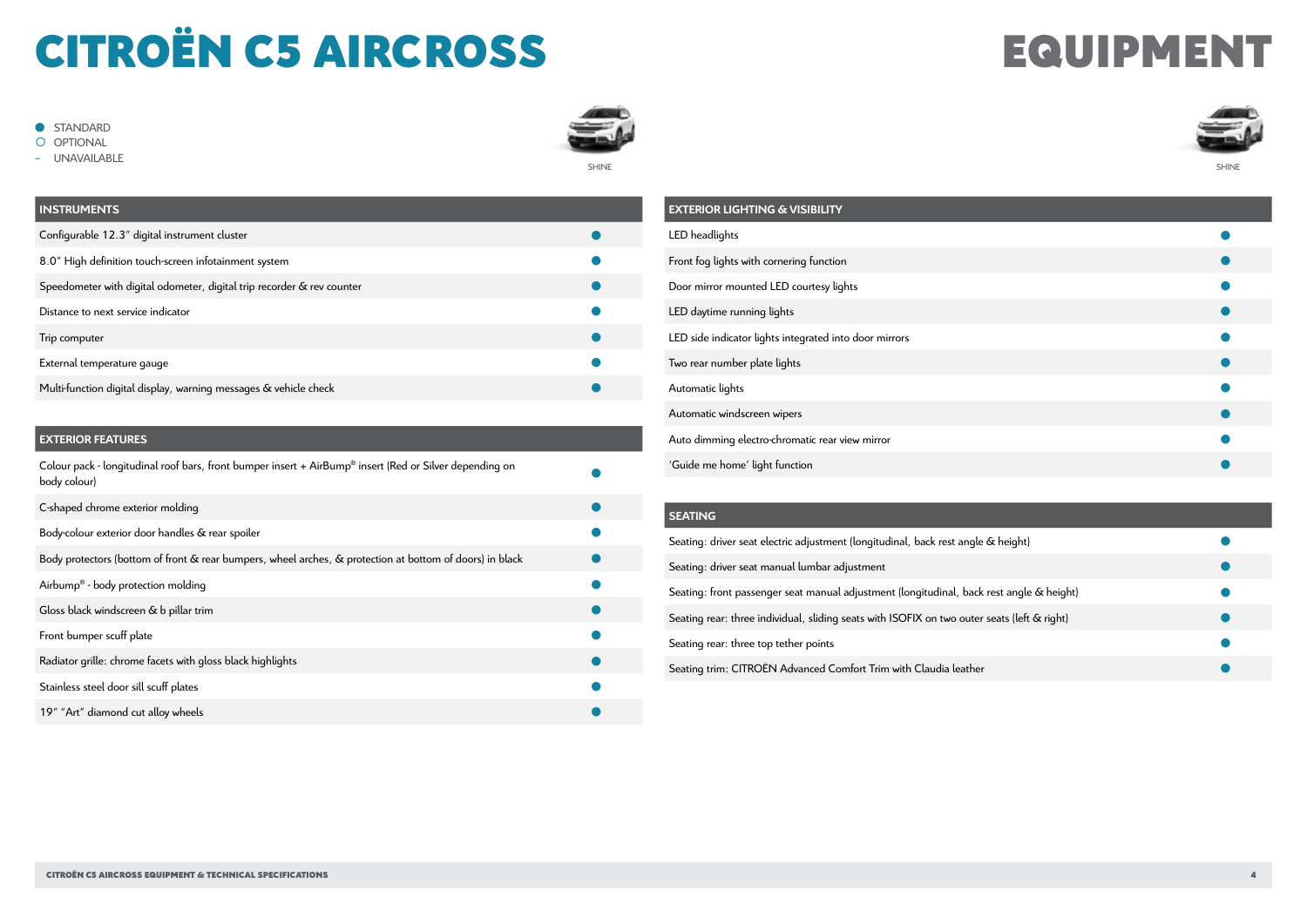## CITROËN C5 AIRCROSS EQUIPMENT

 $\bullet$  STANDARD

O OPTIONAL

- UNAVAILABLE





| <b>INSTRUMENTS</b>                                                     |  |
|------------------------------------------------------------------------|--|
| Configurable 12.3" digital instrument cluster                          |  |
| 8.0" High definition touch-screen infotainment system                  |  |
| Speedometer with digital odometer, digital trip recorder & rev counter |  |
| Distance to next service indicator                                     |  |
| Trip computer                                                          |  |
| External temperature gauge                                             |  |
| Multi-function digital display, warning messages & vehicle check       |  |

### **EXTERIOR FEATURES**

| Colour pack - longitudinal roof bars, front bumper insert $+$ AirBump <sup>®</sup> insert (Red or Silver depending on<br>body colour) |  |
|---------------------------------------------------------------------------------------------------------------------------------------|--|
| C-shaped chrome exterior molding                                                                                                      |  |
| Body-colour exterior door handles & rear spoiler                                                                                      |  |
| Body protectors (bottom of front & rear bumpers, wheel arches, & protection at bottom of doors) in black                              |  |
| Airbump <sup>®</sup> - body protection molding                                                                                        |  |
| Gloss black windscreen & b pillar trim                                                                                                |  |
| Front bumper scuff plate                                                                                                              |  |
| Radiator grille: chrome facets with gloss black highlights                                                                            |  |
| Stainless steel door sill scuff plates                                                                                                |  |
| 19" "Art" diamond cut alloy wheels                                                                                                    |  |

| <b>EXTERIOR LIGHTING &amp; VISIBILITY</b>              |  |
|--------------------------------------------------------|--|
| LED headlights                                         |  |
| Front fog lights with cornering function               |  |
| Door mirror mounted LED courtesy lights                |  |
| LED daytime running lights                             |  |
| LED side indicator lights integrated into door mirrors |  |
| Two rear number plate lights                           |  |
| Automatic lights                                       |  |
| Automatic windscreen wipers                            |  |
| Auto dimming electro-chromatic rear view mirror        |  |
| 'Guide me home' light function                         |  |
|                                                        |  |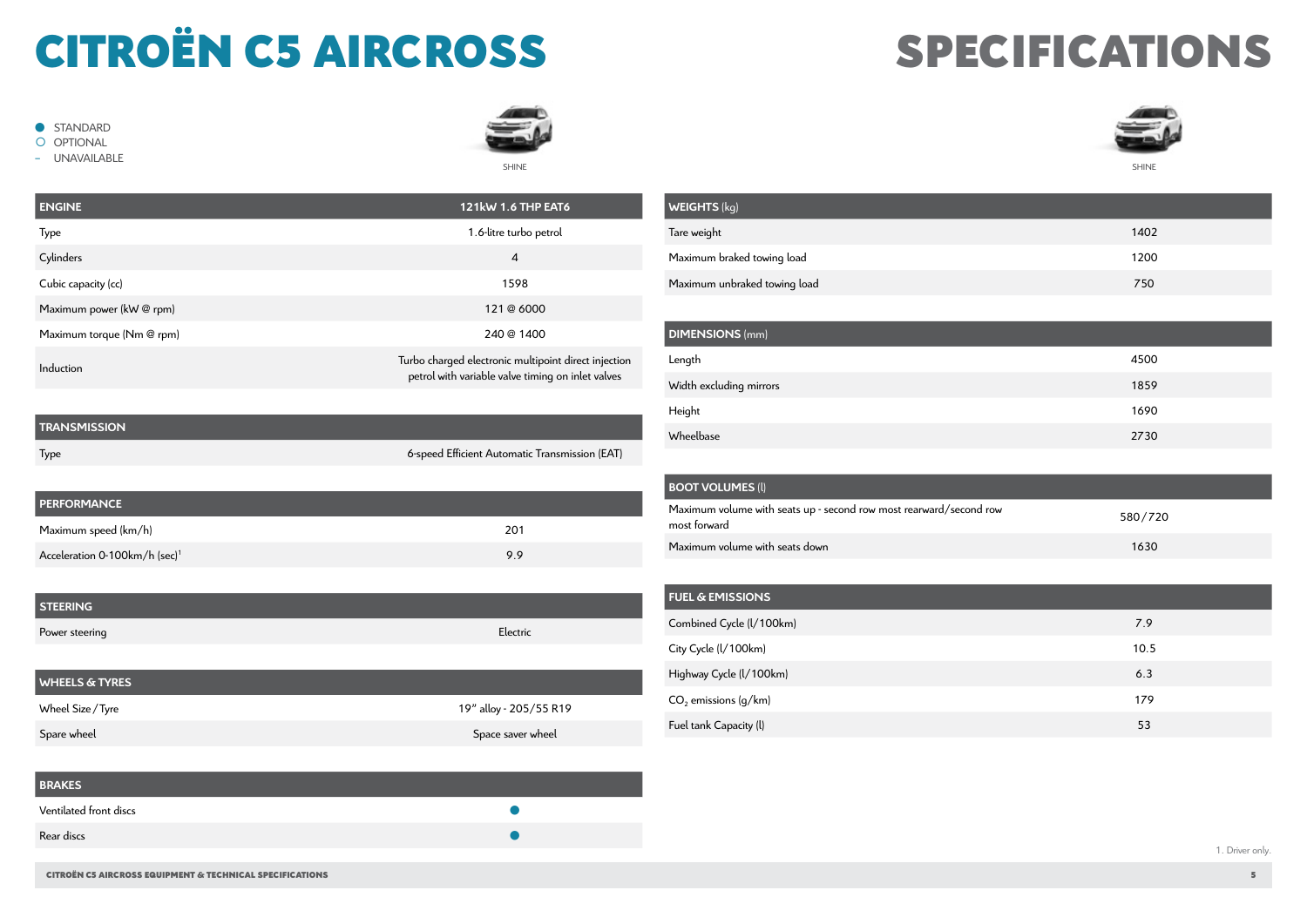# CITROËN C5 AIRCROSS

� STANDARD O OPTIONAL - UNAVAILABLE

## SPECIFICATIONS



| <b>ENGINE</b>             | <b>121kW 1.6 THP EAT6</b>                                                                                 |
|---------------------------|-----------------------------------------------------------------------------------------------------------|
| Type                      | 1.6-litre turbo petrol                                                                                    |
| Cylinders                 | $\overline{4}$                                                                                            |
| Cubic capacity (cc)       | 1598                                                                                                      |
| Maximum power (kW @ rpm)  | 121 @ 6000                                                                                                |
| Maximum torque (Nm @ rpm) | 240 @ 1400                                                                                                |
| Induction                 | Turbo charged electronic multipoint direct injection<br>petrol with variable valve timing on inlet valves |
|                           |                                                                                                           |

SHINE

**WEIGHTS** (kg)

| <b>TRANSMISSION</b> |                                                |
|---------------------|------------------------------------------------|
| Type                | 6-speed Efficient Automatic Transmission (EAT) |

| <b>PERFORMANCE</b>                        |     |
|-------------------------------------------|-----|
| Maximum speed (km/h)                      | 201 |
| Acceleration 0-100km/h (sec) <sup>1</sup> | 9.9 |

| <b>STEERING</b>           |                        |  |
|---------------------------|------------------------|--|
| Power steering            | Electric               |  |
|                           |                        |  |
| <b>WHEELS &amp; TYRES</b> |                        |  |
| Wheel Size / Tyre         | 19" alloy - 205/55 R19 |  |
| Spare wheel               | Space saver wheel      |  |

| <b>BRAKES</b>          |  |
|------------------------|--|
| Ventilated front discs |  |
| Rear discs             |  |

| .                            |      |
|------------------------------|------|
| Tare weight                  | 1402 |
| Maximum braked towing load   | 1200 |
| Maximum unbraked towing load | 750  |
|                              |      |
| <b>DIMENSIONS</b> (mm)       |      |
| Length                       | 4500 |
| Width excluding mirrors      | 1859 |
| Height                       | 1690 |

| <b>BOOT VOLUMES (I)</b>                                                            |         |
|------------------------------------------------------------------------------------|---------|
| Maximum volume with seats up - second row most rearward/second row<br>most forward | 580/720 |
| Maximum volume with seats down                                                     | 1630    |

Wheelbase 2730

| <b>FUEL &amp; EMISSIONS</b> |      |
|-----------------------------|------|
| Combined Cycle (I/100km)    | 7.9  |
| City Cycle (I/100km)        | 10.5 |
| Highway Cycle (I/100km)     | 6.3  |
| $CO2$ emissions (g/km)      | 179  |
| Fuel tank Capacity (I)      | 53   |